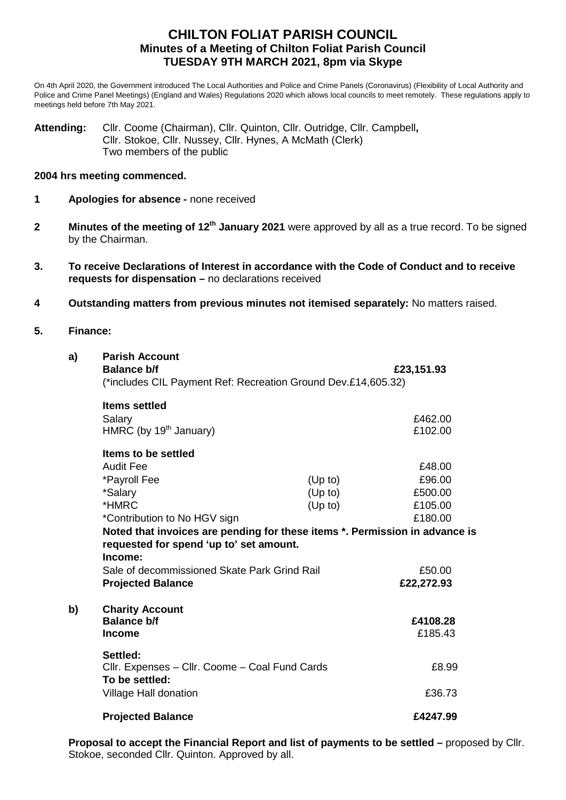# **CHILTON FOLIAT PARISH COUNCIL Minutes of a Meeting of Chilton Foliat Parish Council TUESDAY 9TH MARCH 2021, 8pm via Skype**

On 4th April 2020, the Government introduced The Local Authorities and Police and Crime Panels (Coronavirus) (Flexibility of Local Authority and Police and Crime Panel Meetings) (England and Wales) Regulations 2020 which allows local councils to meet remotely. These regulations apply to meetings held before 7th May 2021.

**Attending:** Cllr. Coome (Chairman), Cllr. Quinton, Cllr. Outridge, Cllr. Campbell**,** Cllr. Stokoe, Cllr. Nussey, Cllr. Hynes, A McMath (Clerk) Two members of the public

### **2004 hrs meeting commenced.**

- **1 Apologies for absence -** none received
- **2 Minutes of the meeting of 12<sup>th</sup> January 2021** were approved by all as a true record. To be signed by the Chairman.
- **3. To receive Declarations of Interest in accordance with the Code of Conduct and to receive requests for dispensation –** no declarations received
- **4 Outstanding matters from previous minutes not itemised separately:** No matters raised.

### **5. Finance:**

| a) | <b>Parish Account</b><br><b>Balance b/f</b>                                 |         | £23,151.93 |  |  |
|----|-----------------------------------------------------------------------------|---------|------------|--|--|
|    | (*includes CIL Payment Ref: Recreation Ground Dev.£14,605.32)               |         |            |  |  |
|    | <b>Items settled</b>                                                        |         |            |  |  |
|    | Salary                                                                      |         | £462.00    |  |  |
|    | HMRC (by 19 <sup>th</sup> January)                                          |         | £102.00    |  |  |
|    | Items to be settled                                                         |         |            |  |  |
|    | <b>Audit Fee</b>                                                            |         | £48.00     |  |  |
|    | *Payroll Fee                                                                | (Up to) | £96.00     |  |  |
|    | *Salary                                                                     | (Up to) | £500.00    |  |  |
|    | *HMRC                                                                       | (Up to) | £105.00    |  |  |
|    | *Contribution to No HGV sign                                                |         | £180.00    |  |  |
|    | Noted that invoices are pending for these items *. Permission in advance is |         |            |  |  |
|    | requested for spend 'up to' set amount.                                     |         |            |  |  |
|    | Income:                                                                     |         |            |  |  |
|    | Sale of decommissioned Skate Park Grind Rail                                |         | £50.00     |  |  |
|    | <b>Projected Balance</b>                                                    |         | £22,272.93 |  |  |
| b) | <b>Charity Account</b>                                                      |         |            |  |  |
|    | <b>Balance b/f</b>                                                          |         | £4108.28   |  |  |
|    | <b>Income</b>                                                               |         | £185.43    |  |  |
|    | Settled:                                                                    |         |            |  |  |
|    | Cllr. Expenses - Cllr. Coome - Coal Fund Cards                              |         | £8.99      |  |  |
|    | To be settled:                                                              |         |            |  |  |
|    | Village Hall donation                                                       |         | £36.73     |  |  |
|    | <b>Projected Balance</b>                                                    |         | £4247.99   |  |  |

**Proposal to accept the Financial Report and list of payments to be settled –** proposed by Cllr. Stokoe, seconded Cllr. Quinton. Approved by all.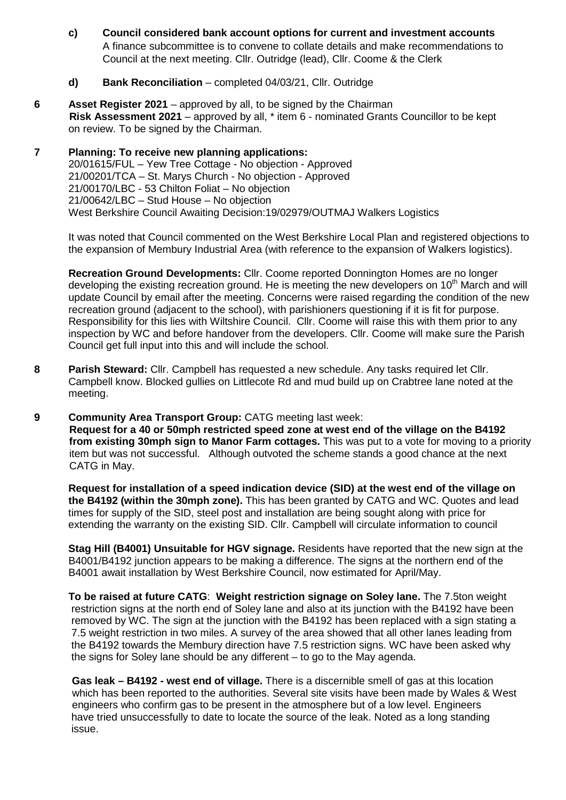**c) Council considered bank account options for current and investment accounts**  A finance subcommittee is to convene to collate details and make recommendations to Council at the next meeting. Cllr. Outridge (lead), Cllr. Coome & the Clerk

## **d) Bank Reconciliation** – completed 04/03/21, Cllr. Outridge

- **6 Asset Register 2021** approved by all, to be signed by the Chairman **Risk Assessment 2021** – approved by all, \* item 6 - nominated Grants Councillor to be kept on review. To be signed by the Chairman.
- **7 Planning: To receive new planning applications:** 20/01615/FUL – Yew Tree Cottage - No objection - Approved 21/00201/TCA – St. Marys Church - No objection - Approved 21/00170/LBC - 53 Chilton Foliat – No objection 21/00642/LBC – Stud House – No objection West Berkshire Council Awaiting Decision:19/02979/OUTMAJ Walkers Logistics

It was noted that Council commented on the West Berkshire Local Plan and registered objections to the expansion of Membury Industrial Area (with reference to the expansion of Walkers logistics).

**Recreation Ground Developments:** Cllr. Coome reported Donnington Homes are no longer developing the existing recreation ground. He is meeting the new developers on  $10<sup>th</sup>$  March and will update Council by email after the meeting. Concerns were raised regarding the condition of the new recreation ground (adjacent to the school), with parishioners questioning if it is fit for purpose. Responsibility for this lies with Wiltshire Council. Cllr. Coome will raise this with them prior to any inspection by WC and before handover from the developers. Cllr. Coome will make sure the Parish Council get full input into this and will include the school.

- **8 Parish Steward:** Cllr. Campbell has requested a new schedule. Any tasks required let Cllr. Campbell know. Blocked gullies on Littlecote Rd and mud build up on Crabtree lane noted at the meeting.
- **9 Community Area Transport Group:** CATG meeting last week:

 **Request for a 40 or 50mph restricted speed zone at west end of the village on the B4192 from existing 30mph sign to Manor Farm cottages.** This was put to a vote for moving to a priority item but was not successful. Although outvoted the scheme stands a good chance at the next CATG in May.

**Request for installation of a speed indication device (SID) at the west end of the village on the B4192 (within the 30mph zone).** This has been granted by CATG and WC. Quotes and lead times for supply of the SID, steel post and installation are being sought along with price for extending the warranty on the existing SID. Cllr. Campbell will circulate information to council

**Stag Hill (B4001) Unsuitable for HGV signage.** Residents have reported that the new sign at the B4001/B4192 junction appears to be making a difference. The signs at the northern end of the B4001 await installation by West Berkshire Council, now estimated for April/May.

**To be raised at future CATG**: **Weight restriction signage on Soley lane.** The 7.5ton weight restriction signs at the north end of Soley lane and also at its junction with the B4192 have been removed by WC. The sign at the junction with the B4192 has been replaced with a sign stating a 7.5 weight restriction in two miles. A survey of the area showed that all other lanes leading from the B4192 towards the Membury direction have 7.5 restriction signs. WC have been asked why the signs for Soley lane should be any different – to go to the May agenda.

 **Gas leak – B4192 - west end of village.** There is a discernible smell of gas at this location which has been reported to the authorities. Several site visits have been made by Wales & West engineers who confirm gas to be present in the atmosphere but of a low level. Engineers have tried unsuccessfully to date to locate the source of the leak. Noted as a long standing issue.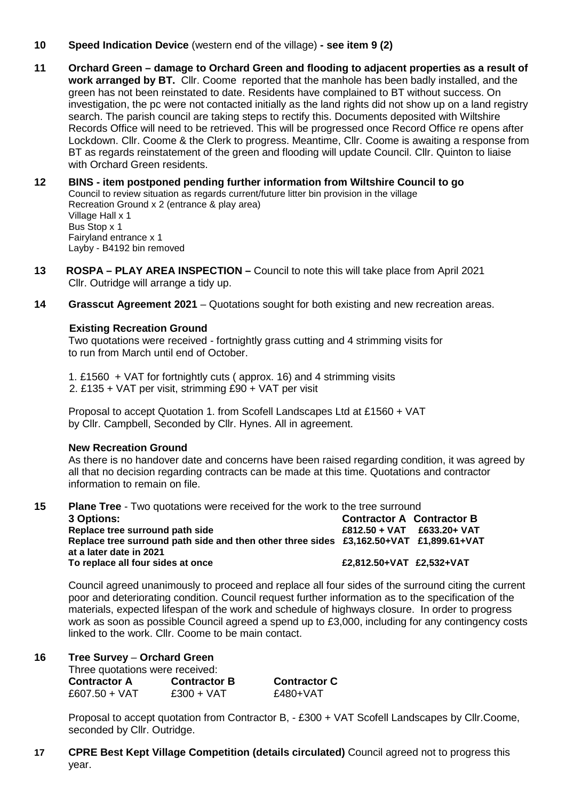- **10 Speed Indication Device** (western end of the village) **- see item 9 (2)**
- **11 Orchard Green – damage to Orchard Green and flooding to adjacent properties as a result of work arranged by BT.** Cllr. Coome reported that the manhole has been badly installed, and the green has not been reinstated to date. Residents have complained to BT without success. On investigation, the pc were not contacted initially as the land rights did not show up on a land registry search. The parish council are taking steps to rectify this. Documents deposited with Wiltshire Records Office will need to be retrieved. This will be progressed once Record Office re opens after Lockdown. Cllr. Coome & the Clerk to progress. Meantime, Cllr. Coome is awaiting a response from BT as regards reinstatement of the green and flooding will update Council. Cllr. Quinton to liaise with Orchard Green residents.
- **12 BINS - item postponed pending further information from Wiltshire Council to go** Council to review situation as regards current/future litter bin provision in the village Recreation Ground x 2 (entrance & play area) Village Hall x 1 Bus Stop x 1 Fairyland entrance x 1 Layby - B4192 bin removed
- **13 ROSPA – PLAY AREA INSPECTION –** Council to note this will take place from April 2021 Cllr. Outridge will arrange a tidy up.
- **14 Grasscut Agreement 2021** Quotations sought for both existing and new recreation areas.

### **Existing Recreation Ground**

Two quotations were received - fortnightly grass cutting and 4 strimming visits for to run from March until end of October.

1. £1560 + VAT for fortnightly cuts ( approx. 16) and 4 strimming visits 2. £135 + VAT per visit, strimming £90 + VAT per visit

Proposal to accept Quotation 1. from Scofell Landscapes Ltd at £1560 + VAT by Cllr. Campbell, Seconded by Cllr. Hynes. All in agreement.

#### **New Recreation Ground**

As there is no handover date and concerns have been raised regarding condition, it was agreed by all that no decision regarding contracts can be made at this time. Quotations and contractor information to remain on file.

**15 Plane Tree** - Two quotations were received for the work to the tree surround

| <b>3 Options:</b>                                                                      | <b>Contractor A Contractor B</b> |  |
|----------------------------------------------------------------------------------------|----------------------------------|--|
| Replace tree surround path side                                                        | $£812.50 + VAT$ £633.20+ VAT     |  |
| Replace tree surround path side and then other three sides £3,162.50+VAT £1,899.61+VAT |                                  |  |
| at a later date in 2021                                                                |                                  |  |
| To replace all four sides at once                                                      | £2.812.50+VAT £2.532+VAT         |  |

Council agreed unanimously to proceed and replace all four sides of the surround citing the current poor and deteriorating condition. Council request further information as to the specification of the materials, expected lifespan of the work and schedule of highways closure. In order to progress work as soon as possible Council agreed a spend up to £3,000, including for any contingency costs linked to the work. Cllr. Coome to be main contact.

### **16 Tree Survey** – **Orchard Green**

Three quotations were received:

| Contractor A  | <b>Contractor B</b> | <b>Contractor C</b> |
|---------------|---------------------|---------------------|
| £607.50 + VAT | $£300 + VAT$        | £480+VAT            |

Proposal to accept quotation from Contractor B, - £300 + VAT Scofell Landscapes by Cllr.Coome, seconded by Cllr. Outridge.

**17 CPRE Best Kept Village Competition (details circulated)** Council agreed not to progress this year.